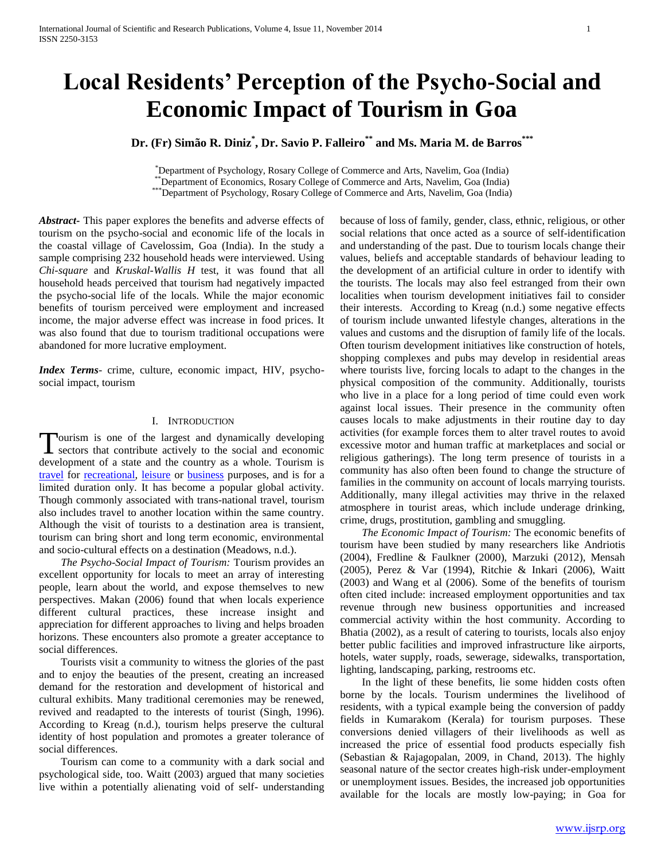# **Local Residents' Perception of the Psycho-Social and Economic Impact of Tourism in Goa**

**Dr. (Fr) Simão R. Diniz\* , Dr. Savio P. Falleiro\*\* and Ms. Maria M. de Barros\*\*\***

\*Department of Psychology, Rosary College of Commerce and Arts, Navelim, Goa (India) \*\*Department of Economics, Rosary College of Commerce and Arts, Navelim, Goa (India) \*\*\*Department of Psychology, Rosary College of Commerce and Arts, Navelim, Goa (India)

*Abstract***-** This paper explores the benefits and adverse effects of tourism on the psycho-social and economic life of the locals in the coastal village of Cavelossim, Goa (India). In the study a sample comprising 232 household heads were interviewed. Using *Chi-square* and *Kruskal-Wallis H* test, it was found that all household heads perceived that tourism had negatively impacted the psycho-social life of the locals. While the major economic benefits of tourism perceived were employment and increased income, the major adverse effect was increase in food prices. It was also found that due to tourism traditional occupations were abandoned for more lucrative employment.

*Index Terms*- crime, culture, economic impact, HIV, psychosocial impact, tourism

## I. INTRODUCTION

ourism is one of the largest and dynamically developing Tourism is one of the largest and dynamically developing<br>sectors that contribute actively to the social and economic development of a state and the country as a whole. Tourism is [travel](http://en.wikipedia.org/wiki/Travel) for [recreational,](http://en.wikipedia.org/wiki/Recreation) [leisure](http://en.wikipedia.org/wiki/Leisure) or [business](http://en.wikipedia.org/wiki/Business) purposes, and is for a limited duration only. It has become a popular global activity. Though commonly associated with trans-national travel, tourism also includes travel to another location within the same country. Although the visit of tourists to a destination area is transient, tourism can bring short and long term economic, environmental and socio-cultural effects on a destination (Meadows, n.d.).

 *The Psycho-Social Impact of Tourism:* Tourism provides an excellent opportunity for locals to meet an array of interesting people, learn about the world, and expose themselves to new perspectives. Makan (2006) found that when locals experience different cultural practices, these increase insight and appreciation for different approaches to living and helps broaden horizons. These encounters also promote a greater acceptance to social differences.

Tourists visit a community to witness the glories of the past and to enjoy the beauties of the present, creating an increased demand for the restoration and development of historical and cultural exhibits. Many traditional ceremonies may be renewed, revived and readapted to the interests of tourist (Singh, 1996). According to Kreag (n.d.), tourism helps preserve the cultural identity of host population and promotes a greater tolerance of social differences.

Tourism can come to a community with a dark social and psychological side, too. Waitt (2003) argued that many societies live within a potentially alienating void of self- understanding

because of loss of family, gender, class, ethnic, religious, or other social relations that once acted as a source of self-identification and understanding of the past. Due to tourism locals change their values, beliefs and acceptable standards of behaviour leading to the development of an artificial culture in order to identify with the tourists. The locals may also feel estranged from their own localities when tourism development initiatives fail to consider their interests. According to Kreag (n.d.) some negative effects of tourism include unwanted lifestyle changes, alterations in the values and customs and the disruption of family life of the locals. Often tourism development initiatives like construction of hotels, shopping complexes and pubs may develop in residential areas where tourists live, forcing locals to adapt to the changes in the physical composition of the community. Additionally, tourists who live in a place for a long period of time could even work against local issues. Their presence in the community often causes locals to make adjustments in their routine day to day activities (for example forces them to alter travel routes to avoid excessive motor and human traffic at marketplaces and social or religious gatherings). The long term presence of tourists in a community has also often been found to change the structure of families in the community on account of locals marrying tourists. Additionally, many illegal activities may thrive in the relaxed atmosphere in tourist areas, which include underage drinking, crime, drugs, prostitution, gambling and smuggling.

 *The Economic Impact of Tourism:* The economic benefits of tourism have been studied by many researchers like Andriotis (2004), Fredline & Faulkner (2000), Marzuki (2012), Mensah (2005), Perez & Var (1994), Ritchie & Inkari (2006), Waitt (2003) and Wang et al (2006). Some of the benefits of tourism often cited include: increased employment opportunities and tax revenue through new business opportunities and increased commercial activity within the host community. According to Bhatia (2002), as a result of catering to tourists, locals also enjoy better public facilities and improved infrastructure like airports, hotels, water supply, roads, sewerage, sidewalks, transportation, lighting, landscaping, parking, restrooms etc.

In the light of these benefits, lie some hidden costs often borne by the locals. Tourism undermines the livelihood of residents, with a typical example being the conversion of paddy fields in Kumarakom (Kerala) for tourism purposes. These conversions denied villagers of their livelihoods as well as increased the price of essential food products especially fish (Sebastian & Rajagopalan, 2009, in Chand, 2013). The highly seasonal nature of the sector creates high-risk under-employment or unemployment issues. Besides, the increased job opportunities available for the locals are mostly low-paying; in Goa for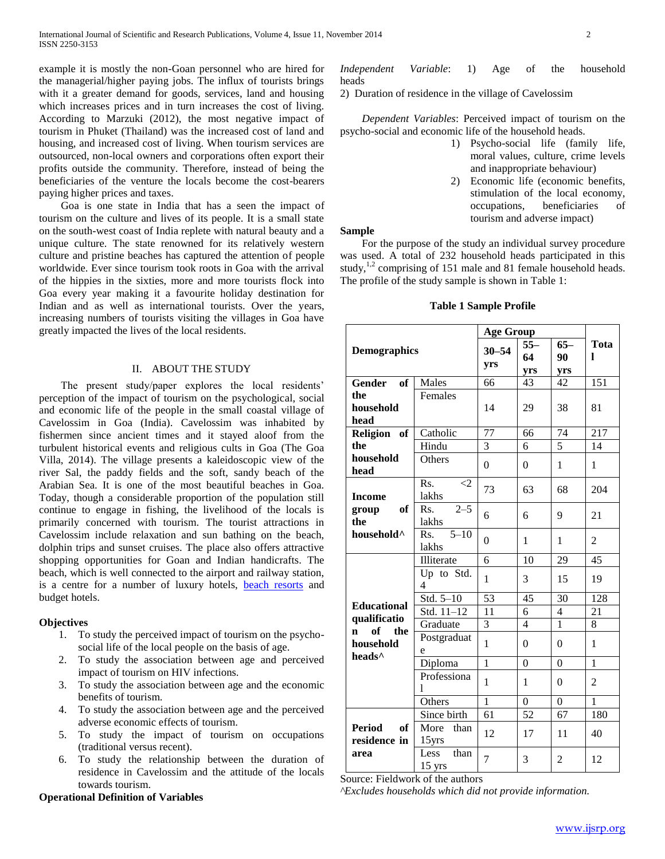example it is mostly the non-Goan personnel who are hired for the managerial/higher paying jobs. The influx of tourists brings with it a greater demand for goods, services, land and housing which increases prices and in turn increases the cost of living. According to Marzuki (2012), the most negative impact of tourism in Phuket (Thailand) was the increased cost of land and housing, and increased cost of living. When tourism services are outsourced, non-local owners and corporations often export their profits outside the community. Therefore, instead of being the beneficiaries of the venture the locals become the cost-bearers paying higher prices and taxes.

Goa is one state in India that has a seen the impact of tourism on the culture and lives of its people. It is a small state on the south-west coast of India replete with natural beauty and a unique culture. The state renowned for its relatively western culture and pristine beaches has captured the attention of people worldwide. Ever since tourism took roots in Goa with the arrival of the hippies in the sixties, more and more tourists flock into Goa every year making it a favourite holiday destination for Indian and as well as international tourists. Over the years, increasing numbers of tourists visiting the villages in Goa have greatly impacted the lives of the local residents.

## II. ABOUT THE STUDY

The present study/paper explores the local residents' perception of the impact of tourism on the psychological, social and economic life of the people in the small coastal village of Cavelossim in Goa (India). Cavelossim was inhabited by fishermen since ancient times and it stayed aloof from the turbulent historical events and religious cults in Goa (The Goa Villa, 2014). The village presents a kaleidoscopic view of the river Sal, the paddy fields and the soft, sandy beach of the Arabian Sea. It is one of the most beautiful beaches in Goa. Today, though a considerable proportion of the population still continue to engage in fishing, the livelihood of the locals is primarily concerned with tourism. The tourist attractions in Cavelossim include relaxation and sun bathing on the beach, dolphin trips and sunset cruises. The place also offers attractive shopping opportunities for Goan and Indian handicrafts. The beach, which is well connected to the airport and railway station, is a centre for a number of luxury hotels, **[beach resorts](http://www.mapsofindia.com/maps/goa/resorts-goa.html)** and budget hotels.

## **Objectives**

- 1. To study the perceived impact of tourism on the psychosocial life of the local people on the basis of age.
- 2. To study the association between age and perceived impact of tourism on HIV infections.
- 3. To study the association between age and the economic benefits of tourism.
- 4. To study the association between age and the perceived adverse economic effects of tourism.
- 5. To study the impact of tourism on occupations (traditional versus recent).
- 6. To study the relationship between the duration of residence in Cavelossim and the attitude of the locals towards tourism.

# **Operational Definition of Variables**

*Independent Variable*: 1) Age of the household heads

2) Duration of residence in the village of Cavelossim

 *Dependent Variables*: Perceived impact of tourism on the psycho-social and economic life of the household heads.

- 1) Psycho-social life (family life, moral values, culture, crime levels and inappropriate behaviour)
- 2) Economic life (economic benefits, stimulation of the local economy, occupations, beneficiaries of tourism and adverse impact)

## **Sample**

For the purpose of the study an individual survey procedure was used. A total of 232 household heads participated in this study, $1,2$  comprising of 151 male and 81 female household heads. The profile of the study sample is shown in Table 1:

|  |  | <b>Table 1 Sample Profile</b> |  |
|--|--|-------------------------------|--|
|--|--|-------------------------------|--|

|                        |                 | <b>Age Group</b> |                |                |                |  |
|------------------------|-----------------|------------------|----------------|----------------|----------------|--|
| <b>Demographics</b>    |                 | $30 - 54$        | $55 -$         | $65 -$         | Tota           |  |
|                        |                 | yrs              | 64             | 90             | L              |  |
|                        |                 |                  | yrs            | yrs            |                |  |
| Gender of              | Males           | 66               | 43             | 42             | 151            |  |
| the                    | Females         |                  |                |                |                |  |
| household              |                 | 14               | 29             | 38             | 81             |  |
| head                   |                 |                  |                |                |                |  |
| Religion of            | Catholic        | 77               | 66             | 74             | 217            |  |
| the                    | Hindu           | 3                | 6              | $\overline{5}$ | 14             |  |
| household              | Others          | $\boldsymbol{0}$ | $\Omega$       | $\mathbf{1}$   | 1              |  |
| head                   |                 |                  |                |                |                |  |
|                        | Rs.<br>$\leq$ 2 | 73               | 63             | 68             | 204            |  |
| <b>Income</b>          | lakhs           |                  |                |                |                |  |
| of<br>group            | $2 - 5$<br>Rs.  | 6                | 6              | 9              | 21             |  |
| the                    | lakhs           |                  |                |                |                |  |
| household <sup>^</sup> | $5 - 10$<br>Rs. | $\theta$         | 1              | 1              | $\overline{c}$ |  |
|                        | lakhs           |                  |                |                |                |  |
|                        | Illiterate      | 6                | 10             | 29             | 45             |  |
|                        | Up to Std.      | 1                | 3              | 15             | 19             |  |
|                        | 4               |                  |                |                |                |  |
| <b>Educational</b>     | Std. $5-10$     | $\overline{53}$  | 45             | 30             | 128            |  |
| qualificatio           | Std. 11-12      | 11               | 6              | $\overline{4}$ | 21             |  |
| of<br>the<br>n.        | Graduate        | 3                | 4              | $\mathbf{1}$   | 8              |  |
| household              | Postgraduat     | $\mathbf{1}$     | $\theta$       | $\theta$       | 1              |  |
| heads <sup>^</sup>     | e               |                  |                |                |                |  |
|                        | Diploma         | $\overline{1}$   | $\overline{0}$ | $\overline{0}$ | $\overline{1}$ |  |
|                        | Professiona     | $\mathbf{1}$     | 1              | $\theta$       | $\overline{2}$ |  |
|                        | 1               |                  |                |                |                |  |
|                        | Others          | $\mathbf{1}$     | $\Omega$       | $\Omega$       | 1              |  |
|                        | Since birth     | 61               | 52             | 67             | 180            |  |
| <b>Period</b><br>of    | More than       | 12               | 17             | 11             | 40             |  |
| residence in           | 15yrs           |                  |                |                |                |  |
| area                   | Less<br>than    | $\overline{7}$   | 3              | $\overline{2}$ | 12             |  |
|                        | $15$ yrs        |                  |                |                |                |  |

Source: Fieldwork of the authors

*^Excludes households which did not provide information.*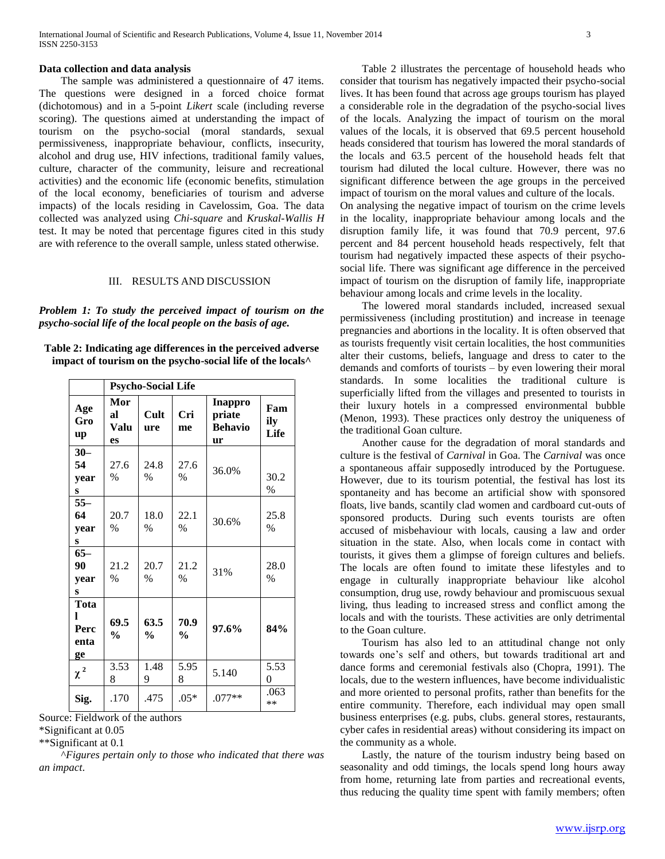#### **Data collection and data analysis**

The sample was administered a questionnaire of 47 items. The questions were designed in a forced choice format (dichotomous) and in a 5-point *Likert* scale (including reverse scoring). The questions aimed at understanding the impact of tourism on the psycho-social (moral standards, sexual permissiveness, inappropriate behaviour, conflicts, insecurity, alcohol and drug use, HIV infections, traditional family values, culture, character of the community, leisure and recreational activities) and the economic life (economic benefits, stimulation of the local economy, beneficiaries of tourism and adverse impacts) of the locals residing in Cavelossim, Goa. The data collected was analyzed using *Chi-square* and *Kruskal-Wallis H* test. It may be noted that percentage figures cited in this study are with reference to the overall sample, unless stated otherwise.

## III. RESULTS AND DISCUSSION

*Problem 1: To study the perceived impact of tourism on the psycho-social life of the local people on the basis of age.*

**Table 2: Indicating age differences in the perceived adverse impact of tourism on the psycho-social life of the locals^**

|                                 | <b>Psycho-Social Life</b> |                       |                                                               |          |                       |  |  |  |
|---------------------------------|---------------------------|-----------------------|---------------------------------------------------------------|----------|-----------------------|--|--|--|
| Age<br>Gro<br>up                | Mor<br>яl<br>Valu<br>es   | Cult<br>ure           | <b>Inappro</b><br>Cri<br>priate<br><b>Behavio</b><br>me<br>ur |          | Fam<br>ily<br>Life    |  |  |  |
| $30 -$<br>54<br>year<br>s       | 27.6<br>$\frac{0}{0}$     | 24.8<br>$\%$          | 27.6<br>$\frac{0}{0}$                                         | 36.0%    | 30.2<br>$\%$          |  |  |  |
| $55 -$<br>64<br>year<br>S       | 20.7<br>$\%$              | 18.0<br>$\frac{0}{0}$ | 22.1<br>$\%$                                                  | 30.6%    | 25.8<br>$\%$          |  |  |  |
| $65-$<br>90<br>year<br>S        | 21.2<br>$\frac{0}{0}$     | 20.7<br>$\frac{0}{0}$ | 21.2<br>$\frac{0}{0}$                                         | 31%      | 28.0<br>$\frac{0}{0}$ |  |  |  |
| Tota<br>L<br>Perc<br>enta<br>ge | 69.5<br>$\frac{0}{0}$     | 63.5<br>$\frac{0}{0}$ | 70.9<br>%                                                     | 97.6%    | 84%                   |  |  |  |
| $\chi$ $^{2}$                   | 3.53<br>8                 | 1.48<br>9             | 5.95<br>8                                                     | 5.140    | 5.53<br>$\theta$      |  |  |  |
| Sig.                            | .170                      | .475                  | $.05*$                                                        | $.077**$ | .063<br>**            |  |  |  |

Source: Fieldwork of the authors

\*Significant at 0.05

\*\*Significant at 0.1

^*Figures pertain only to those who indicated that there was an impact*.

Table 2 illustrates the percentage of household heads who consider that tourism has negatively impacted their psycho-social lives. It has been found that across age groups tourism has played a considerable role in the degradation of the psycho-social lives of the locals. Analyzing the impact of tourism on the moral values of the locals, it is observed that 69.5 percent household heads considered that tourism has lowered the moral standards of the locals and 63.5 percent of the household heads felt that tourism had diluted the local culture. However, there was no significant difference between the age groups in the perceived impact of tourism on the moral values and culture of the locals.

On analysing the negative impact of tourism on the crime levels in the locality, inappropriate behaviour among locals and the disruption family life, it was found that 70.9 percent, 97.6 percent and 84 percent household heads respectively, felt that tourism had negatively impacted these aspects of their psychosocial life. There was significant age difference in the perceived impact of tourism on the disruption of family life, inappropriate behaviour among locals and crime levels in the locality.

The lowered moral standards included, increased sexual permissiveness (including prostitution) and increase in teenage pregnancies and abortions in the locality. It is often observed that as tourists frequently visit certain localities, the host communities alter their customs, beliefs, language and dress to cater to the demands and comforts of tourists – by even lowering their moral standards. In some localities the traditional culture is superficially lifted from the villages and presented to tourists in their luxury hotels in a compressed environmental bubble (Menon, 1993). These practices only destroy the uniqueness of the traditional Goan culture.

Another cause for the degradation of moral standards and culture is the festival of *Carnival* in Goa. The *Carnival* was once a spontaneous affair supposedly introduced by the Portuguese. However, due to its tourism potential, the festival has lost its spontaneity and has become an artificial show with sponsored floats, live bands, scantily clad women and cardboard cut-outs of sponsored products. During such events tourists are often accused of misbehaviour with locals, causing a law and order situation in the state. Also, when locals come in contact with tourists, it gives them a glimpse of foreign cultures and beliefs. The locals are often found to imitate these lifestyles and to engage in culturally inappropriate behaviour like alcohol consumption, drug use, rowdy behaviour and promiscuous sexual living, thus leading to increased stress and conflict among the locals and with the tourists. These activities are only detrimental to the Goan culture.

Tourism has also led to an attitudinal change not only towards one"s self and others, but towards traditional art and dance forms and ceremonial festivals also (Chopra, 1991). The locals, due to the western influences, have become individualistic and more oriented to personal profits, rather than benefits for the entire community. Therefore, each individual may open small business enterprises (e.g. pubs, clubs. general stores, restaurants, cyber cafes in residential areas) without considering its impact on the community as a whole.

Lastly, the nature of the tourism industry being based on seasonality and odd timings, the locals spend long hours away from home, returning late from parties and recreational events, thus reducing the quality time spent with family members; often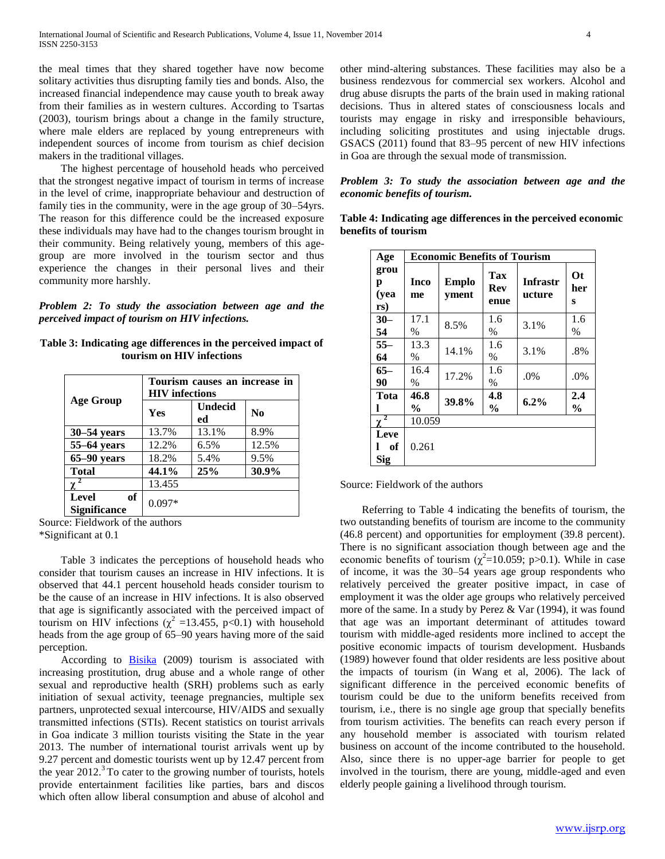the meal times that they shared together have now become solitary activities thus disrupting family ties and bonds. Also, the increased financial independence may cause youth to break away from their families as in western cultures. According to Tsartas (2003), tourism brings about a change in the family structure, where male elders are replaced by young entrepreneurs with independent sources of income from tourism as chief decision makers in the traditional villages.

The highest percentage of household heads who perceived that the strongest negative impact of tourism in terms of increase in the level of crime, inappropriate behaviour and destruction of family ties in the community, were in the age group of 30–54yrs. The reason for this difference could be the increased exposure these individuals may have had to the changes tourism brought in their community. Being relatively young, members of this agegroup are more involved in the tourism sector and thus experience the changes in their personal lives and their community more harshly.

*Problem 2: To study the association between age and the perceived impact of tourism on HIV infections.*

| Table 3: Indicating age differences in the perceived impact of |
|----------------------------------------------------------------|
| tourism on HIV infections                                      |

|                                    | Tourism causes an increase in<br><b>HIV</b> infections |               |                |  |  |  |  |
|------------------------------------|--------------------------------------------------------|---------------|----------------|--|--|--|--|
| <b>Age Group</b>                   | Yes                                                    | Undecid<br>ed | N <sub>0</sub> |  |  |  |  |
| $30 - 54$ years                    | 13.7%                                                  | 13.1%         | 8.9%           |  |  |  |  |
| $55-64$ years                      | 12.2%                                                  | 6.5%          | 12.5%          |  |  |  |  |
| $65-90$ years                      | 18.2%                                                  | 5.4%          | 9.5%           |  |  |  |  |
| <b>Total</b>                       | 44.1%                                                  | 25%           | 30.9%          |  |  |  |  |
|                                    | 13.455                                                 |               |                |  |  |  |  |
| of<br>Level<br><b>Significance</b> | $0.097*$                                               |               |                |  |  |  |  |

Source: Fieldwork of the authors \*Significant at 0.1

Table 3 indicates the perceptions of household heads who consider that tourism causes an increase in HIV infections. It is observed that 44.1 percent household heads consider tourism to be the cause of an increase in HIV infections. It is also observed that age is significantly associated with the perceived impact of tourism on HIV infections ( $\chi^2$  =13.455, p<0.1) with household heads from the age group of 65–90 years having more of the said perception.

According to [Bisika](http://www.ncbi.nlm.nih.gov/pubmed/?term=Bisika%20T%5Bauth%5D) (2009) tourism is associated with increasing prostitution, drug abuse and a whole range of other sexual and reproductive health (SRH) problems such as early initiation of sexual activity, teenage pregnancies, multiple sex partners, unprotected sexual intercourse, HIV/AIDS and sexually transmitted infections (STIs). Recent statistics on tourist arrivals in Goa indicate 3 million tourists visiting the State in the year 2013. The number of international tourist arrivals went up by 9.27 percent and domestic tourists went up by 12.47 percent from the year  $2012<sup>3</sup>$  To cater to the growing number of tourists, hotels provide entertainment facilities like parties, bars and discos which often allow liberal consumption and abuse of alcohol and

other mind-altering substances. These facilities may also be a business rendezvous for commercial sex workers. Alcohol and drug abuse disrupts the parts of the brain used in making rational decisions. Thus in altered states of consciousness locals and tourists may engage in risky and irresponsible behaviours, including soliciting prostitutes and using injectable drugs. GSACS (2011) found that 83–95 percent of new HIV infections in Goa are through the sexual mode of transmission.

## *Problem 3: To study the association between age and the economic benefits of tourism.*

| Age                      |                        | <b>Economic Benefits of Tourism</b> |                      |                           |                       |  |  |  |  |
|--------------------------|------------------------|-------------------------------------|----------------------|---------------------------|-----------------------|--|--|--|--|
| grou<br>р<br>(yea<br>rs) | Inco<br>me             | <b>Emplo</b><br>yment               | Tax<br>Rev<br>enue   | <b>Infrastr</b><br>ucture | <b>Ot</b><br>her<br>S |  |  |  |  |
| $30 -$<br>54             | 17.1<br>$\%$           | 8.5%                                | 1.6<br>$\%$          | 3.1%                      | 1.6<br>$\%$           |  |  |  |  |
| $55 -$<br>64             | 13.3<br>$\%$           | 14.1%                               | 1.6<br>$\%$          | 3.1%                      | .8%                   |  |  |  |  |
| $65-$<br>90              | 16.4<br>$\%$           | 17.2%                               | 1.6<br>%             | $.0\%$                    | $.0\%$                |  |  |  |  |
| Tota                     | 46.8<br>$\frac{6}{10}$ | 39.8%                               | 4.8<br>$\frac{0}{0}$ | 6.2%                      | 2.4<br>$\frac{0}{0}$  |  |  |  |  |
| $\overline{2}$<br>χ      | 10.059                 |                                     |                      |                           |                       |  |  |  |  |
| Leve<br>of<br>Sig        | 0.261                  |                                     |                      |                           |                       |  |  |  |  |

**Table 4: Indicating age differences in the perceived economic benefits of tourism**

#### Source: Fieldwork of the authors

Referring to Table 4 indicating the benefits of tourism, the two outstanding benefits of tourism are income to the community (46.8 percent) and opportunities for employment (39.8 percent). There is no significant association though between age and the economic benefits of tourism  $(\chi^2=10.059; p>0.1)$ . While in case of income, it was the 30–54 years age group respondents who relatively perceived the greater positive impact, in case of employment it was the older age groups who relatively perceived more of the same. In a study by Perez & Var (1994), it was found that age was an important determinant of attitudes toward tourism with middle-aged residents more inclined to accept the positive economic impacts of tourism development. Husbands (1989) however found that older residents are less positive about the impacts of tourism (in Wang et al, 2006). The lack of significant difference in the perceived economic benefits of tourism could be due to the uniform benefits received from tourism, i.e., there is no single age group that specially benefits from tourism activities. The benefits can reach every person if any household member is associated with tourism related business on account of the income contributed to the household. Also, since there is no upper-age barrier for people to get involved in the tourism, there are young, middle-aged and even elderly people gaining a livelihood through tourism.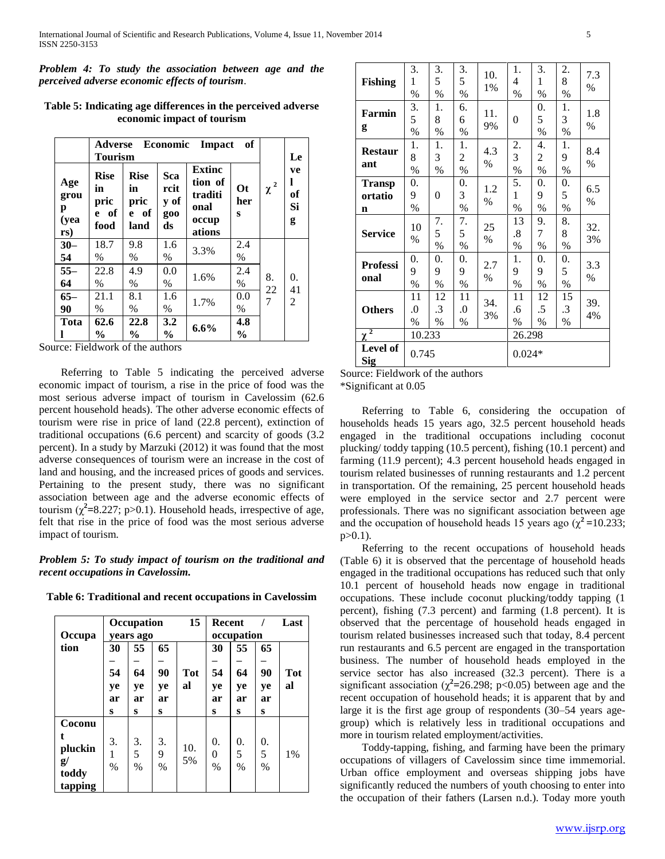*Problem 4: To study the association between age and the perceived adverse economic effects of tourism.*

|                                 | Economic<br>of<br>Adverse<br>Impact<br><b>Tourism</b> |                                           |                                  |                                                                |                        |          | Le                       |
|---------------------------------|-------------------------------------------------------|-------------------------------------------|----------------------------------|----------------------------------------------------------------|------------------------|----------|--------------------------|
| Age<br>grou<br>p<br>(yea<br>rs) | <b>Rise</b><br>in<br>pric<br>e of<br>food             | <b>Rise</b><br>in<br>pric<br>e of<br>land | Sca<br>rcit<br>y of<br>g00<br>ds | <b>Extinc</b><br>tion of<br>traditi<br>onal<br>occup<br>ations | $\Omega$ t<br>her<br>S | $\chi^2$ | ve<br>1<br>of<br>Si<br>g |
| $30 -$<br>54                    | 18.7<br>$\%$                                          | 9.8<br>$\%$                               | 1.6<br>$\%$                      | 3.3%                                                           | 2.4<br>$\%$            |          |                          |
| $55 -$<br>64                    | 22.8<br>$\%$                                          | 4.9<br>$\%$                               | 0.0<br>$\%$                      | 1.6%                                                           | 2.4<br>$\%$            | 8.       | 0.<br>41                 |
| $65-$<br>90                     | 21.1<br>$\%$                                          | 8.1<br>$\%$                               | 1.6<br>$\%$                      | 1.7%                                                           | 0.0<br>$\%$            | 22<br>7  | $\overline{2}$           |
| Tota                            | 62.6<br>$\frac{0}{0}$                                 | 22.8<br>$\%$                              | 3.2<br>$\frac{6}{9}$             | $6.6\%$                                                        | 4.8<br>$\frac{6}{9}$   |          |                          |

**Table 5: Indicating age differences in the perceived adverse economic impact of tourism**

Source: Fieldwork of the authors

Referring to Table 5 indicating the perceived adverse economic impact of tourism, a rise in the price of food was the most serious adverse impact of tourism in Cavelossim (62.6 percent household heads). The other adverse economic effects of tourism were rise in price of land (22.8 percent), extinction of traditional occupations (6.6 percent) and scarcity of goods (3.2 percent). In a study by Marzuki (2012) it was found that the most adverse consequences of tourism were an increase in the cost of land and housing, and the increased prices of goods and services. Pertaining to the present study, there was no significant association between age and the adverse economic effects of tourism  $(\chi^2 = 8.227; p > 0.1)$ . Household heads, irrespective of age, felt that rise in the price of food was the most serious adverse impact of tourism.

# *Problem 5: To study impact of tourism on the traditional and recent occupations in Cavelossim.*

| Table 6: Traditional and recent occupations in Cavelossim |  |  |  |  |  |
|-----------------------------------------------------------|--|--|--|--|--|
|-----------------------------------------------------------|--|--|--|--|--|

|               |      | 15<br>Occupation |      |            |      | <b>Recent</b> |      | Last       |
|---------------|------|------------------|------|------------|------|---------------|------|------------|
| Occupa        |      | vears ago        |      |            |      | occupation    |      |            |
| tion          | 30   | 55               | 65   |            | 30   | 55            | 65   |            |
|               |      |                  |      |            |      |               |      |            |
|               | 54   | 64               | 90   | <b>Tot</b> | 54   | 64            | 90   | <b>Tot</b> |
|               | ye   | ye               | ye   | al         | ye   | ye            | ye   | al         |
|               | ar   | ar               | ar   |            | ar   | ar            | ar   |            |
|               | s    | S                | S    |            | s    | S             | s    |            |
| Coconu        |      |                  |      |            |      |               |      |            |
| t.            | 3.   | 3.               | 3.   |            | 0.   | 0.            | 0.   |            |
| pluckin       |      |                  |      | 10.        |      |               |      |            |
| $\mathbf{g}/$ | 1    | 5                | 9    | 5%         | 0    | 5             | 5    | $1\%$      |
|               | $\%$ | $\frac{0}{0}$    | $\%$ |            | $\%$ | $\%$          | $\%$ |            |
| toddy         |      |                  |      |            |      |               |      |            |
| tapping       |      |                  |      |            |      |               |      |            |

| <b>Fishing</b>                | 3.<br>1<br>$\%$                | 3.<br>5<br>$\%$  | 3.<br>5<br>$\%$              | 10.<br>1%   | 1.<br>4<br>$\%$  | 3.<br>1<br>$\%$           | 2.<br>8<br>$\%$         | 7.3<br>$\%$          |
|-------------------------------|--------------------------------|------------------|------------------------------|-------------|------------------|---------------------------|-------------------------|----------------------|
| Farmin<br>g                   | 3.<br>5<br>$\%$                | 1.<br>8<br>$\%$  | 6.<br>6<br>$\%$              | 11.<br>9%   | $\overline{0}$   | 0.<br>5<br>$\%$           | 1.<br>3<br>$\%$         | 1.8<br>$\frac{0}{0}$ |
| <b>Restaur</b><br>ant         | 1.<br>8<br>$\%$                | 1.<br>3<br>$\%$  | 1.<br>$\overline{c}$<br>$\%$ | 4.3<br>$\%$ | 2.<br>3<br>%     | 4.<br>2<br>$\%$           | 1.<br>9<br>$\%$         | 8.4<br>$\%$          |
| <b>Transp</b><br>ortatio<br>n | 0.<br>9<br>$\%$                | 0                | 0.<br>3<br>$\%$              | 1.2<br>$\%$ | 5.<br>1<br>$\%$  | 0.<br>9<br>$\%$           | 0.<br>5<br>$\%$         | 6.5<br>$\%$          |
| <b>Service</b>                | 10<br>$\%$                     | 7.<br>5<br>$\%$  | 7.<br>5<br>$\%$              | 25<br>$\%$  | 13<br>.8<br>$\%$ | 9.<br>7<br>$\%$           | 8.<br>8<br>$\%$         | 32.<br>3%            |
| <b>Professi</b><br>onal       | 0.<br>9<br>$\%$                | 0.<br>9<br>$\%$  | 0.<br>9<br>$\%$              | 2.7<br>$\%$ | 1.<br>9<br>$\%$  | 0.<br>9<br>$\%$           | 0.<br>5<br>$\%$         | 3.3<br>$\%$          |
| <b>Others</b>                 | 11<br>$\overline{0}$ .<br>$\%$ | 12<br>.3<br>$\%$ | 11<br>$_{0}$<br>$\%$         | 34.<br>3%   | 11<br>.6<br>$\%$ | 12<br>.5<br>$\frac{0}{0}$ | 15<br>$\cdot$ 3<br>$\%$ | 39.<br>4%            |
| $\overline{2}$<br>χ           | 10.233                         |                  |                              |             | 26.298           |                           |                         |                      |
| Level of<br>Sig               | 0.745                          |                  |                              |             | $0.024*$         |                           |                         |                      |

Source: Fieldwork of the authors

\*Significant at 0.05

Referring to Table 6, considering the occupation of households heads 15 years ago, 32.5 percent household heads engaged in the traditional occupations including coconut plucking/ toddy tapping (10.5 percent), fishing (10.1 percent) and farming (11.9 percent); 4.3 percent household heads engaged in tourism related businesses of running restaurants and 1.2 percent in transportation. Of the remaining, 25 percent household heads were employed in the service sector and 2.7 percent were professionals. There was no significant association between age and the occupation of household heads 15 years ago  $(\chi^2 = 10.233)$ ;  $p > 0.1$ ).

Referring to the recent occupations of household heads (Table 6) it is observed that the percentage of household heads engaged in the traditional occupations has reduced such that only 10.1 percent of household heads now engage in traditional occupations. These include coconut plucking/toddy tapping (1 percent), fishing (7.3 percent) and farming (1.8 percent). It is observed that the percentage of household heads engaged in tourism related businesses increased such that today, 8.4 percent run restaurants and 6.5 percent are engaged in the transportation business. The number of household heads employed in the service sector has also increased (32.3 percent). There is a significant association ( $\chi^2$ =26.298; p<0.05) between age and the recent occupation of household heads; it is apparent that by and large it is the first age group of respondents (30–54 years agegroup) which is relatively less in traditional occupations and more in tourism related employment/activities.

Toddy-tapping, fishing, and farming have been the primary occupations of villagers of Cavelossim since time immemorial. Urban office employment and overseas shipping jobs have significantly reduced the numbers of youth choosing to enter into the occupation of their fathers (Larsen n.d.). Today more youth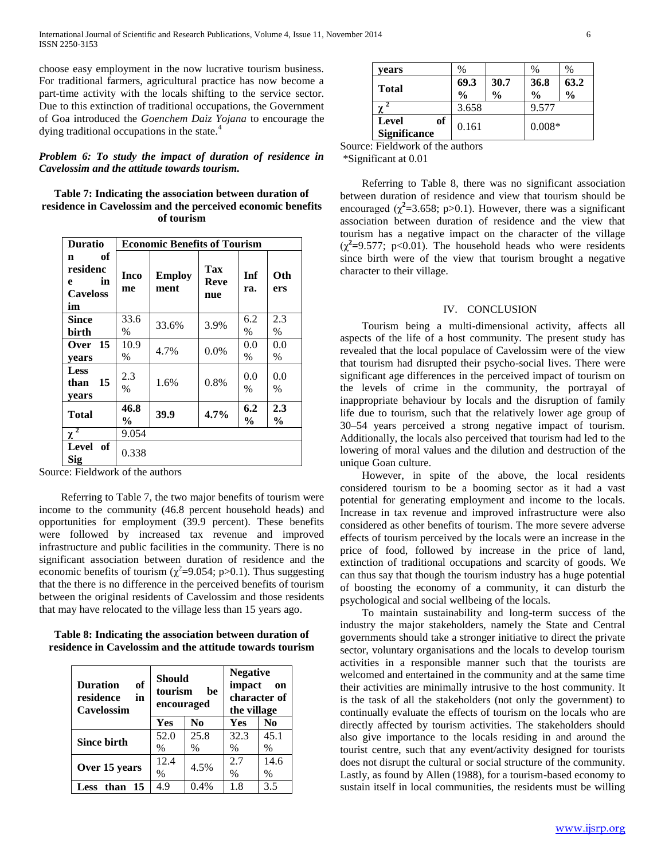choose easy employment in the now lucrative tourism business. For traditional farmers, agricultural practice has now become a part-time activity with the locals shifting to the service sector. Due to this extinction of traditional occupations, the Government of Goa introduced the *Goenchem Daiz Yojana* to encourage the dying traditional occupations in the state.<sup>4</sup>

## *Problem 6: To study the impact of duration of residence in Cavelossim and the attitude towards tourism.*

**Table 7: Indicating the association between duration of residence in Cavelossim and the perceived economic benefits of tourism**

| <b>Duratio</b>                                          | <b>Economic Benefits of Tourism</b> |                       |                           |                      |                      |  |  |
|---------------------------------------------------------|-------------------------------------|-----------------------|---------------------------|----------------------|----------------------|--|--|
| of<br>n<br>residenc<br>in<br>e<br><b>Caveloss</b><br>im | Inco<br>me                          | <b>Employ</b><br>ment | Tax<br><b>Reve</b><br>nue | Inf<br>ra.           | Oth<br>ers           |  |  |
| <b>Since</b><br>birth                                   | 33.6<br>$\%$                        | 33.6%                 | 3.9%                      | 6.2<br>$\%$          | 2.3<br>$\%$          |  |  |
| Over 15<br>vears                                        | 10.9<br>$\%$                        | 4.7%                  | 0.0%                      | 0.0<br>$\%$          | 0.0<br>$\%$          |  |  |
| <b>Less</b><br>15<br>than<br>years                      | 2.3<br>$\frac{0}{0}$                | 1.6%                  | 0.8%                      | 0.0<br>$\frac{0}{0}$ | 0.0<br>%             |  |  |
| <b>Total</b>                                            | 46.8<br>$\frac{6}{9}$               | 39.9                  | 4.7%                      | 6.2<br>$\frac{0}{0}$ | 2.3<br>$\frac{0}{0}$ |  |  |
| χ                                                       | 9.054                               |                       |                           |                      |                      |  |  |
| Level of<br><b>Sig</b>                                  | 0.338                               |                       |                           |                      |                      |  |  |

Source: Fieldwork of the authors

Referring to Table 7, the two major benefits of tourism were income to the community (46.8 percent household heads) and opportunities for employment (39.9 percent). These benefits were followed by increased tax revenue and improved infrastructure and public facilities in the community. There is no significant association between duration of residence and the economic benefits of tourism  $(\chi^2=9.054; p>0.1)$ . Thus suggesting that the there is no difference in the perceived benefits of tourism between the original residents of Cavelossim and those residents that may have relocated to the village less than 15 years ago.

**Table 8: Indicating the association between duration of residence in Cavelossim and the attitude towards tourism**

| оf<br><b>Duration</b><br>residence<br>in<br>Cavelossim | <b>Should</b><br>tourism<br>encouraged | be             | <b>Negative</b><br>impact<br>on<br>character of<br>the village |                |  |
|--------------------------------------------------------|----------------------------------------|----------------|----------------------------------------------------------------|----------------|--|
|                                                        | Yes                                    | N <sub>0</sub> | Yes                                                            | N <sub>0</sub> |  |
| <b>Since birth</b>                                     | 52.0<br>%                              | 25.8<br>$\%$   | 32.3<br>$\%$                                                   | 45.1<br>$\%$   |  |
| Over 15 years                                          | 12.4<br>$\%$                           | 4.5%           | 2.7<br>$\frac{0}{0}$                                           | 14.6<br>$\%$   |  |
| than<br>15<br>Less                                     | 4.9                                    | $0.4\%$        | 1.8                                                            | 3.5            |  |

| vears                                     | $\%$                  |                       | %                     | $\%$                  |
|-------------------------------------------|-----------------------|-----------------------|-----------------------|-----------------------|
| <b>Total</b>                              | 69.3<br>$\frac{0}{0}$ | 30.7<br>$\frac{0}{0}$ | 36.8<br>$\frac{0}{0}$ | 63.2<br>$\frac{0}{0}$ |
|                                           | 3.658                 |                       | 9.577                 |                       |
| of<br><b>Level</b><br><b>Significance</b> | 0.161                 |                       | $0.008*$              |                       |

Source: Fieldwork of the authors \*Significant at 0.01

Referring to Table 8, there was no significant association between duration of residence and view that tourism should be encouraged  $(\chi^2 = 3.658; p > 0.1)$ . However, there was a significant association between duration of residence and the view that tourism has a negative impact on the character of the village  $(\chi^2 = 9.577; p < 0.01)$ . The household heads who were residents since birth were of the view that tourism brought a negative character to their village.

#### IV. CONCLUSION

Tourism being a multi-dimensional activity, affects all aspects of the life of a host community. The present study has revealed that the local populace of Cavelossim were of the view that tourism had disrupted their psycho-social lives. There were significant age differences in the perceived impact of tourism on the levels of crime in the community, the portrayal of inappropriate behaviour by locals and the disruption of family life due to tourism, such that the relatively lower age group of 30–54 years perceived a strong negative impact of tourism. Additionally, the locals also perceived that tourism had led to the lowering of moral values and the dilution and destruction of the unique Goan culture.

However, in spite of the above, the local residents considered tourism to be a booming sector as it had a vast potential for generating employment and income to the locals. Increase in tax revenue and improved infrastructure were also considered as other benefits of tourism. The more severe adverse effects of tourism perceived by the locals were an increase in the price of food, followed by increase in the price of land, extinction of traditional occupations and scarcity of goods. We can thus say that though the tourism industry has a huge potential of boosting the economy of a community, it can disturb the psychological and social wellbeing of the locals.

To maintain sustainability and long-term success of the industry the major stakeholders, namely the State and Central governments should take a stronger initiative to direct the private sector, voluntary organisations and the locals to develop tourism activities in a responsible manner such that the tourists are welcomed and entertained in the community and at the same time their activities are minimally intrusive to the host community. It is the task of all the stakeholders (not only the government) to continually evaluate the effects of tourism on the locals who are directly affected by tourism activities. The stakeholders should also give importance to the locals residing in and around the tourist centre, such that any event/activity designed for tourists does not disrupt the cultural or social structure of the community. Lastly, as found by Allen (1988), for a tourism-based economy to sustain itself in local communities, the residents must be willing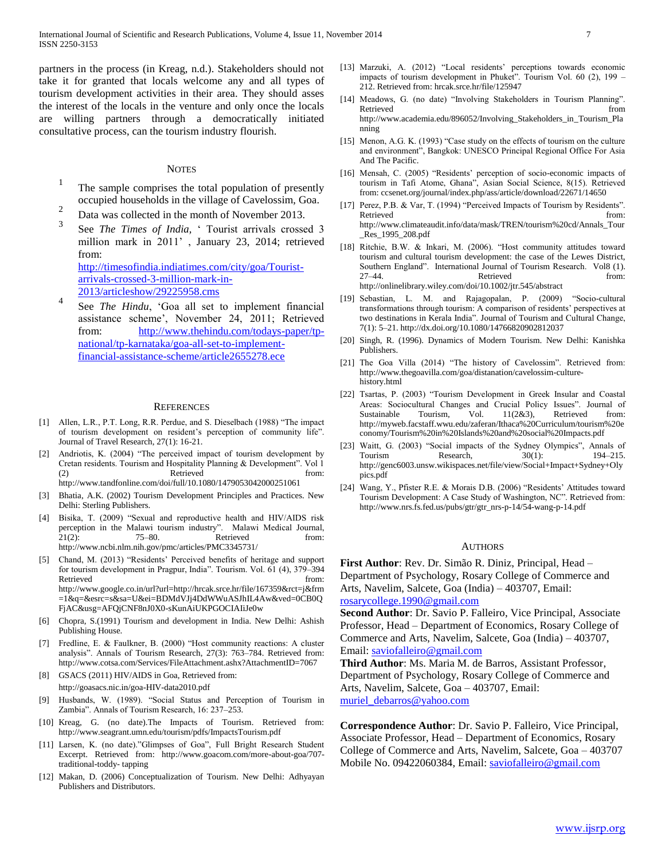partners in the process (in Kreag, n.d.). Stakeholders should not take it for granted that locals welcome any and all types of tourism development activities in their area. They should asses the interest of the locals in the venture and only once the locals are willing partners through a democratically initiated consultative process, can the tourism industry flourish.

## **NOTES**

- 1 The sample comprises the total population of presently occupied households in the village of Cavelossim, Goa.
- $\mathfrak{D}$ Data was collected in the month of November 2013.
- 3 See *The Times of India*, ' Tourist arrivals crossed 3 million mark in 2011" , January 23, 2014; retrieved from: [http://timesofindia.indiatimes.com/city/goa/Tourist](http://timesofindia.indiatimes.com/city/goa/Tourist-arrivals-crossed-3-million-mark-in-2013/articleshow/29225958.cms)[arrivals-crossed-3-million-mark-in-](http://timesofindia.indiatimes.com/city/goa/Tourist-arrivals-crossed-3-million-mark-in-2013/articleshow/29225958.cms)[2013/articleshow/29225958.cms](http://timesofindia.indiatimes.com/city/goa/Tourist-arrivals-crossed-3-million-mark-in-2013/articleshow/29225958.cms)
- 4 See *The Hindu*, "Goa all set to implement financial assistance scheme", November 24, 2011; Retrieved from: [http://www.thehindu.com/todays-paper/tp](http://www.thehindu.com/todays-paper/tp-national/tp-karnataka/goa-all-set-to-implement-financial-assistance-scheme/article2655278.ece)[national/tp-karnataka/goa-all-set-to-implement](http://www.thehindu.com/todays-paper/tp-national/tp-karnataka/goa-all-set-to-implement-financial-assistance-scheme/article2655278.ece)[financial-assistance-scheme/article2655278.ece](http://www.thehindu.com/todays-paper/tp-national/tp-karnataka/goa-all-set-to-implement-financial-assistance-scheme/article2655278.ece)

#### **REFERENCES**

- [1] Allen, L.R., P.T. Long, R.R. Perdue, and S. Dieselbach (1988) "The impact of tourism development on resident"s perception of community life". Journal of Travel Research, 27(1): 16-21.
- Andriotis, K. (2004) "The perceived impact of tourism development by Cretan residents. Tourism and Hospitality Planning & Development". Vol 1 (2) Retrieved from: http://www.tandfonline.com/doi/full/10.1080/1479053042000251061
- [3] Bhatia, A.K. (2002) Tourism Development Principles and Practices. New Delhi: Sterling Publishers.
- [4] Bisika, T. (2009) "Sexual and reproductive health and HIV/AIDS risk perception in the Malawi tourism industry". Malawi Medical Journal, 21(2): 75–80. Retrieved from: http://www.ncbi.nlm.nih.gov/pmc/articles/PMC3345731/
- [5] Chand, M. (2013) "Residents" Perceived benefits of heritage and support for tourism development in Pragpur, India". Tourism. Vol. 61 (4), 379–394 Retrieved from: http://www.google.co.in/url?url=http://hrcak.srce.hr/file/167359&rct=j&frm =1&q=&esrc=s&sa=U&ei=BDMdVJj4DdWWuASJhIL4Aw&ved=0CB0Q FjAC&usg=AFQjCNF8nJ0X0-sKunAiUKPGOCIAIiJe0w
- [6] Chopra, S.(1991) Tourism and development in India. New Delhi: Ashish Publishing House.
- [7] Fredline, E. & Faulkner, B. (2000) "Host community reactions: A cluster analysis". Annals of Tourism Research, 27(3): 763–784. Retrieved from: http://www.cotsa.com/Services/FileAttachment.ashx?AttachmentID=7067
- [8] GSACS (2011) HIV/AIDS in Goa, Retrieved from: http://goasacs.nic.in/goa-HIV-data2010.pdf
- [9] Husbands, W. (1989). "Social Status and Perception of Tourism in Zambia". Annals of Tourism Research, 16: 237–253.
- [10] Kreag, G. (no date).The Impacts of Tourism. Retrieved from: http://www.seagrant.umn.edu/tourism/pdfs/ImpactsTourism.pdf
- [11] Larsen, K. (no date)."Glimpses of Goa", Full Bright Research Student Excerpt. Retrieved from: http://www.goacom.com/more-about-goa/707 traditional-toddy- tapping
- [12] Makan, D. (2006) Conceptualization of Tourism. New Delhi: Adhyayan Publishers and Distributors.
- [13] Marzuki, A. (2012) "Local residents' perceptions towards economic impacts of tourism development in Phuket". Tourism Vol. 60 (2), 199 – 212. Retrieved from: hrcak.srce.hr/file/125947
- [14] Meadows, G. (no date) "Involving Stakeholders in Tourism Planning". Retrieved from the state of  $\sim$  from the state of  $\sim$  from the state of  $\sim$  from the state of  $\sim$  from the state of  $\sim$  from the state of  $\sim$  from the state of  $\sim$  from the state of  $\sim$  from the state of  $\sim$  from http://www.academia.edu/896052/Involving\_Stakeholders\_in\_Tourism\_Pla nning
- [15] Menon, A.G. K. (1993) "Case study on the effects of tourism on the culture and environment", Bangkok: UNESCO Principal Regional Office For Asia And The Pacific.
- [16] Mensah, C. (2005) "Residents" perception of socio-economic impacts of tourism in Tafi Atome, Ghana", Asian Social Science, 8(15). Retrieved from: ccsenet.org/journal/index.php/ass/article/download/22671/14650
- [17] Perez, P.B. & Var, T. (1994) "Perceived Impacts of Tourism by Residents". Retrieved from: http://www.climateaudit.info/data/mask/TREN/tourism%20cd/Annals\_Tour \_Res\_1995\_208.pdf
- [18] Ritchie, B.W. & Inkari, M. (2006). "Host community attitudes toward tourism and cultural tourism development: the case of the Lewes District, Southern England". International Journal of Tourism Research. Vol8 (1). 27–44. Retrieved from: http://onlinelibrary.wiley.com/doi/10.1002/jtr.545/abstract
- [19] Sebastian, L. M. and Rajagopalan, P. (2009) "Socio-cultural transformations through tourism: A comparison of residents" perspectives at two destinations in Kerala India". Journal of Tourism and Cultural Change, 7(1): 5–21. http://dx.doi.org/10.1080/14766820902812037
- [20] Singh, R. (1996). Dynamics of Modern Tourism. New Delhi: Kanishka Publishers.
- [21] The Goa Villa (2014) "The history of Cavelossim". Retrieved from: http://www.thegoavilla.com/goa/distanation/cavelossim-culturehistory.html
- [22] Tsartas, P. (2003) "Tourism Development in Greek Insular and Coastal Areas: Sociocultural Changes and Crucial Policy Issues". Journal of Sustainable Tourism, Vol. 11(2&3), Retrieved from: http://myweb.facstaff.wwu.edu/zaferan/Ithaca%20Curriculum/tourism%20e conomy/Tourism%20in%20Islands%20and%20social%20Impacts.pdf
- [23] Waitt, G. (2003) "Social impacts of the Sydney Olympics", Annals of Tourism Research, 30(1): 194–215. http://genc6003.unsw.wikispaces.net/file/view/Social+Impact+Sydney+Oly pics.pdf
- [24] Wang, Y., Pfister R.E. & Morais D.B. (2006) "Residents" Attitudes toward Tourism Development: A Case Study of Washington, NC". Retrieved from: http://www.nrs.fs.fed.us/pubs/gtr/gtr\_nrs-p-14/54-wang-p-14.pdf

#### AUTHORS

**First Author**: Rev. Dr. Simão R. Diniz, Principal, Head – Department of Psychology, Rosary College of Commerce and Arts, Navelim, Salcete, Goa (India) – 403707, Email: [rosarycollege.1990@gmail.com](mailto:rosarycollege.1990@gmail.com)

**Second Author**: Dr. Savio P. Falleiro, Vice Principal, Associate Professor, Head – Department of Economics, Rosary College of Commerce and Arts, Navelim, Salcete, Goa (India) – 403707, Email: [saviofalleiro@gmail.com](mailto:saviofalleiro@gmail.com)

**Third Author**: Ms. Maria M. de Barros, Assistant Professor, Department of Psychology, Rosary College of Commerce and Arts, Navelim, Salcete, Goa – 403707, Email: [muriel\\_debarros@yahoo.com](mailto:muriel_debarros@yahoo.com)

**Correspondence Author**: Dr. Savio P. Falleiro, Vice Principal, Associate Professor, Head – Department of Economics, Rosary College of Commerce and Arts, Navelim, Salcete, Goa – 403707 Mobile No. 09422060384, Email: [saviofalleiro@gmail.com](mailto:saviofalleiro@gmail.com)